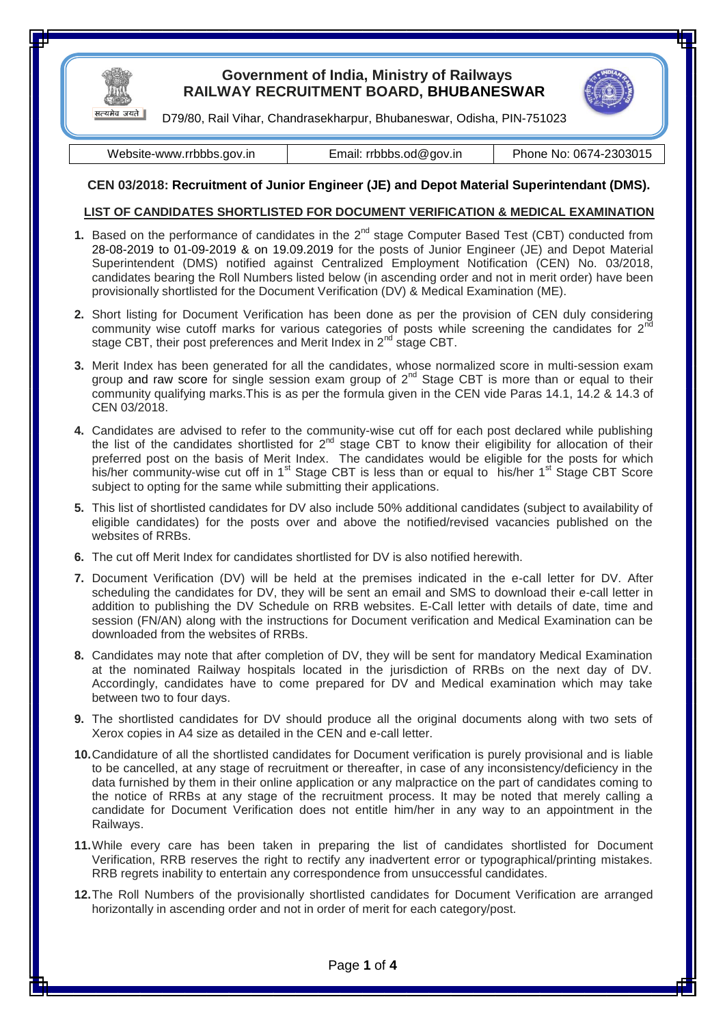

## **Government of India, Ministry of Railways RAILWAY RECRUITMENT BOARD, BHUBANESWAR**



D79/80, Rail Vihar, Chandrasekharpur, Bhubaneswar, Odisha, PIN-751023

Website-www.rrbbbs.gov.in **Email:** [rrbbbs.od@gov.in](mailto:asrrb@scr.railnet.gov.in) Phone No: 0674-2303015

## **CEN 03/2018: Recruitment of Junior Engineer (JE) and Depot Material Superintendant (DMS).**

## **LIST OF CANDIDATES SHORTLISTED FOR DOCUMENT VERIFICATION & MEDICAL EXAMINATION**

- **1.** Based on the performance of candidates in the  $2^{nd}$  stage Computer Based Test (CBT) conducted from 28-08-2019 to 01-09-2019 & on 19.09.2019 for the posts of Junior Engineer (JE) and Depot Material Superintendent (DMS) notified against Centralized Employment Notification (CEN) No. 03/2018, candidates bearing the Roll Numbers listed below (in ascending order and not in merit order) have been provisionally shortlisted for the Document Verification (DV) & Medical Examination (ME).
- **2.** Short listing for Document Verification has been done as per the provision of CEN duly considering community wise cutoff marks for various categories of posts while screening the candidates for  $2<sup>n</sup>$ stage CBT, their post preferences and Merit Index in 2<sup>nd</sup> stage CBT.
- **3.** Merit Index has been generated for all the candidates, whose normalized score in multi-session exam group and raw score for single session exam group of  $2^{nd}$  Stage CBT is more than or equal to their community qualifying marks.This is as per the formula given in the CEN vide Paras 14.1, 14.2 & 14.3 of CEN 03/2018.
- **4.** Candidates are advised to refer to the community-wise cut off for each post declared while publishing the list of the candidates shortlisted for  $2^{nd}$  stage CBT to know their eligibility for allocation of their preferred post on the basis of Merit Index. The candidates would be eligible for the posts for which his/her community-wise cut off in 1<sup>st</sup> Stage CBT is less than or equal to his/her 1<sup>st</sup> Stage CBT Score subject to opting for the same while submitting their applications.
- **5.** This list of shortlisted candidates for DV also include 50% additional candidates (subject to availability of eligible candidates) for the posts over and above the notified/revised vacancies published on the websites of RRBs.
- **6.** The cut off Merit Index for candidates shortlisted for DV is also notified herewith.
- **7.** Document Verification (DV) will be held at the premises indicated in the e-call letter for DV. After scheduling the candidates for DV, they will be sent an email and SMS to download their e-call letter in addition to publishing the DV Schedule on RRB websites. E-Call letter with details of date, time and session (FN/AN) along with the instructions for Document verification and Medical Examination can be downloaded from the websites of RRBs.
- **8.** Candidates may note that after completion of DV, they will be sent for mandatory Medical Examination at the nominated Railway hospitals located in the jurisdiction of RRBs on the next day of DV. Accordingly, candidates have to come prepared for DV and Medical examination which may take between two to four days.
- **9.** The shortlisted candidates for DV should produce all the original documents along with two sets of Xerox copies in A4 size as detailed in the CEN and e-call letter.
- **10.**Candidature of all the shortlisted candidates for Document verification is purely provisional and is liable to be cancelled, at any stage of recruitment or thereafter, in case of any inconsistency/deficiency in the data furnished by them in their online application or any malpractice on the part of candidates coming to the notice of RRBs at any stage of the recruitment process. It may be noted that merely calling a candidate for Document Verification does not entitle him/her in any way to an appointment in the Railways.
- **11.**While every care has been taken in preparing the list of candidates shortlisted for Document Verification, RRB reserves the right to rectify any inadvertent error or typographical/printing mistakes. RRB regrets inability to entertain any correspondence from unsuccessful candidates.
- **12.**The Roll Numbers of the provisionally shortlisted candidates for Document Verification are arranged horizontally in ascending order and not in order of merit for each category/post.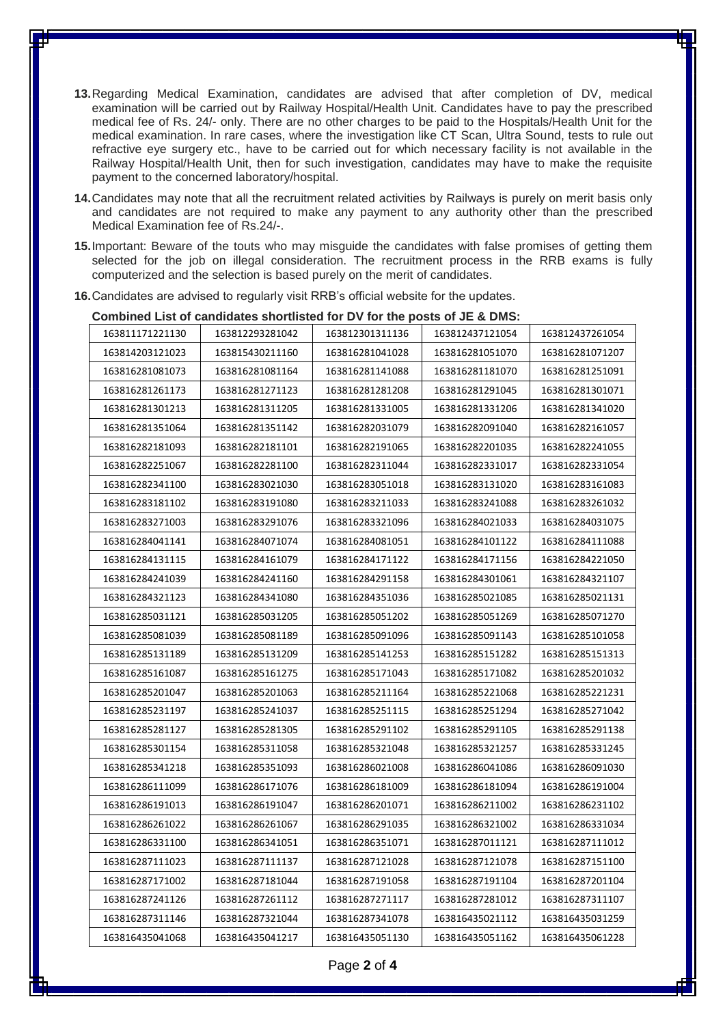- **13.**Regarding Medical Examination, candidates are advised that after completion of DV, medical examination will be carried out by Railway Hospital/Health Unit. Candidates have to pay the prescribed medical fee of Rs. 24/- only. There are no other charges to be paid to the Hospitals/Health Unit for the medical examination. In rare cases, where the investigation like CT Scan, Ultra Sound, tests to rule out refractive eye surgery etc., have to be carried out for which necessary facility is not available in the Railway Hospital/Health Unit, then for such investigation, candidates may have to make the requisite payment to the concerned laboratory/hospital.
- **14.**Candidates may note that all the recruitment related activities by Railways is purely on merit basis only and candidates are not required to make any payment to any authority other than the prescribed Medical Examination fee of Rs.24/-.
- **15.**Important: Beware of the touts who may misguide the candidates with false promises of getting them selected for the job on illegal consideration. The recruitment process in the RRB exams is fully computerized and the selection is based purely on the merit of candidates.

| Combined List of candidates shortlisted for DV for the posts of JE & DMS: |                 |                 |                 |                 |  |  |  |  |  |  |  |
|---------------------------------------------------------------------------|-----------------|-----------------|-----------------|-----------------|--|--|--|--|--|--|--|
| 163811171221130                                                           | 163812293281042 | 163812301311136 | 163812437121054 | 163812437261054 |  |  |  |  |  |  |  |
| 163814203121023                                                           | 163815430211160 | 163816281041028 | 163816281051070 | 163816281071207 |  |  |  |  |  |  |  |
| 163816281081073                                                           | 163816281081164 | 163816281141088 | 163816281181070 | 163816281251091 |  |  |  |  |  |  |  |
| 163816281261173                                                           | 163816281271123 | 163816281281208 | 163816281291045 | 163816281301071 |  |  |  |  |  |  |  |
| 163816281301213                                                           | 163816281311205 | 163816281331005 | 163816281331206 | 163816281341020 |  |  |  |  |  |  |  |
| 163816281351064                                                           | 163816281351142 | 163816282031079 | 163816282091040 | 163816282161057 |  |  |  |  |  |  |  |
| 163816282181093                                                           | 163816282181101 | 163816282191065 | 163816282201035 | 163816282241055 |  |  |  |  |  |  |  |
| 163816282251067                                                           | 163816282281100 | 163816282311044 | 163816282331017 | 163816282331054 |  |  |  |  |  |  |  |
| 163816282341100                                                           | 163816283021030 | 163816283051018 | 163816283131020 | 163816283161083 |  |  |  |  |  |  |  |
| 163816283181102                                                           | 163816283191080 | 163816283211033 | 163816283241088 | 163816283261032 |  |  |  |  |  |  |  |
| 163816283271003                                                           | 163816283291076 | 163816283321096 | 163816284021033 | 163816284031075 |  |  |  |  |  |  |  |
| 163816284041141                                                           | 163816284071074 | 163816284081051 | 163816284101122 | 163816284111088 |  |  |  |  |  |  |  |
| 163816284131115                                                           | 163816284161079 | 163816284171122 | 163816284171156 | 163816284221050 |  |  |  |  |  |  |  |
| 163816284241039                                                           | 163816284241160 | 163816284291158 | 163816284301061 | 163816284321107 |  |  |  |  |  |  |  |
| 163816284321123                                                           | 163816284341080 | 163816284351036 | 163816285021085 | 163816285021131 |  |  |  |  |  |  |  |
| 163816285031121                                                           | 163816285031205 | 163816285051202 | 163816285051269 | 163816285071270 |  |  |  |  |  |  |  |
| 163816285081039                                                           | 163816285081189 | 163816285091096 | 163816285091143 | 163816285101058 |  |  |  |  |  |  |  |
| 163816285131189                                                           | 163816285131209 | 163816285141253 | 163816285151282 | 163816285151313 |  |  |  |  |  |  |  |
| 163816285161087                                                           | 163816285161275 | 163816285171043 | 163816285171082 | 163816285201032 |  |  |  |  |  |  |  |
| 163816285201047                                                           | 163816285201063 | 163816285211164 | 163816285221068 | 163816285221231 |  |  |  |  |  |  |  |
| 163816285231197                                                           | 163816285241037 | 163816285251115 | 163816285251294 | 163816285271042 |  |  |  |  |  |  |  |
| 163816285281127                                                           | 163816285281305 | 163816285291102 | 163816285291105 | 163816285291138 |  |  |  |  |  |  |  |
| 163816285301154                                                           | 163816285311058 | 163816285321048 | 163816285321257 | 163816285331245 |  |  |  |  |  |  |  |
| 163816285341218                                                           | 163816285351093 | 163816286021008 | 163816286041086 | 163816286091030 |  |  |  |  |  |  |  |
| 163816286111099                                                           | 163816286171076 | 163816286181009 | 163816286181094 | 163816286191004 |  |  |  |  |  |  |  |
| 163816286191013                                                           | 163816286191047 | 163816286201071 | 163816286211002 | 163816286231102 |  |  |  |  |  |  |  |
| 163816286261022                                                           | 163816286261067 | 163816286291035 | 163816286321002 | 163816286331034 |  |  |  |  |  |  |  |
| 163816286331100                                                           | 163816286341051 | 163816286351071 | 163816287011121 | 163816287111012 |  |  |  |  |  |  |  |
| 163816287111023                                                           | 163816287111137 | 163816287121028 | 163816287121078 | 163816287151100 |  |  |  |  |  |  |  |
| 163816287171002                                                           | 163816287181044 | 163816287191058 | 163816287191104 | 163816287201104 |  |  |  |  |  |  |  |
| 163816287241126                                                           | 163816287261112 | 163816287271117 | 163816287281012 | 163816287311107 |  |  |  |  |  |  |  |
| 163816287311146                                                           | 163816287321044 | 163816287341078 | 163816435021112 | 163816435031259 |  |  |  |  |  |  |  |
| 163816435041068                                                           | 163816435041217 | 163816435051130 | 163816435051162 | 163816435061228 |  |  |  |  |  |  |  |

**16.**Candidates are advised to regularly visit RRB's official website for the updates.

Page **2** of **4**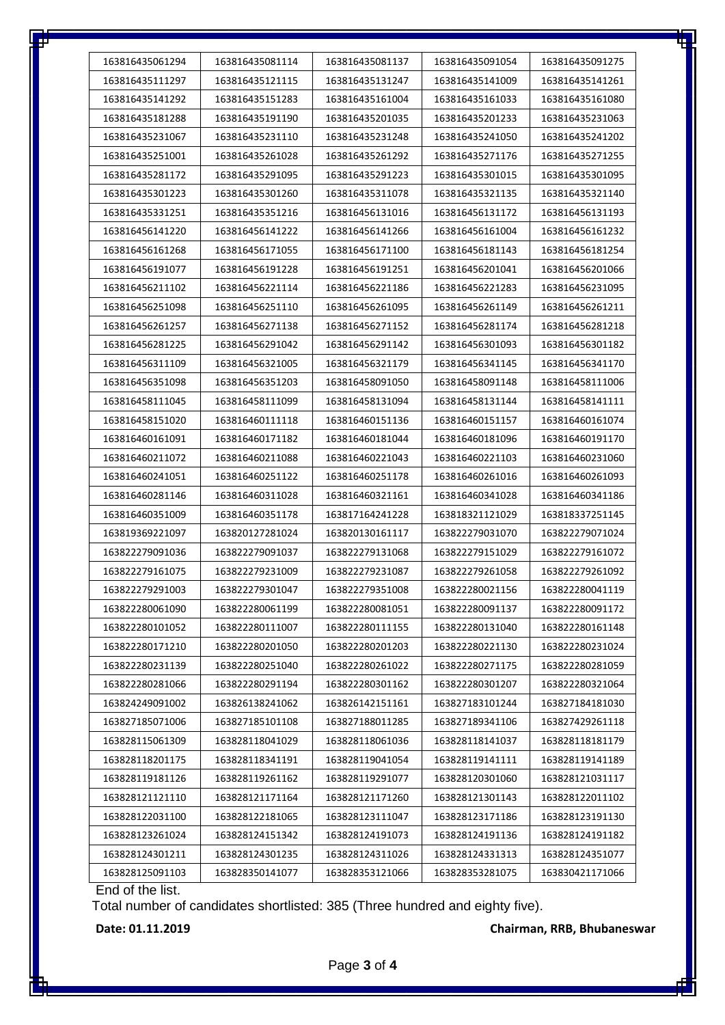| 163816435061294 | 163816435081114 | 163816435081137 | 163816435091054 | 163816435091275 |
|-----------------|-----------------|-----------------|-----------------|-----------------|
| 163816435111297 | 163816435121115 | 163816435131247 | 163816435141009 | 163816435141261 |
| 163816435141292 | 163816435151283 | 163816435161004 | 163816435161033 | 163816435161080 |
| 163816435181288 | 163816435191190 | 163816435201035 | 163816435201233 | 163816435231063 |
| 163816435231067 | 163816435231110 | 163816435231248 | 163816435241050 | 163816435241202 |
| 163816435251001 | 163816435261028 | 163816435261292 | 163816435271176 | 163816435271255 |
| 163816435281172 | 163816435291095 | 163816435291223 | 163816435301015 | 163816435301095 |
| 163816435301223 | 163816435301260 | 163816435311078 | 163816435321135 | 163816435321140 |
| 163816435331251 | 163816435351216 | 163816456131016 | 163816456131172 | 163816456131193 |
| 163816456141220 | 163816456141222 | 163816456141266 | 163816456161004 | 163816456161232 |
| 163816456161268 | 163816456171055 | 163816456171100 | 163816456181143 | 163816456181254 |
| 163816456191077 | 163816456191228 | 163816456191251 | 163816456201041 | 163816456201066 |
| 163816456211102 | 163816456221114 | 163816456221186 | 163816456221283 | 163816456231095 |
| 163816456251098 | 163816456251110 | 163816456261095 | 163816456261149 | 163816456261211 |
| 163816456261257 | 163816456271138 | 163816456271152 | 163816456281174 | 163816456281218 |
| 163816456281225 | 163816456291042 | 163816456291142 | 163816456301093 | 163816456301182 |
| 163816456311109 | 163816456321005 | 163816456321179 | 163816456341145 | 163816456341170 |
| 163816456351098 | 163816456351203 | 163816458091050 | 163816458091148 | 163816458111006 |
| 163816458111045 | 163816458111099 | 163816458131094 | 163816458131144 | 163816458141111 |
| 163816458151020 | 163816460111118 | 163816460151136 | 163816460151157 | 163816460161074 |
| 163816460161091 | 163816460171182 | 163816460181044 | 163816460181096 | 163816460191170 |
| 163816460211072 | 163816460211088 | 163816460221043 | 163816460221103 | 163816460231060 |
| 163816460241051 | 163816460251122 | 163816460251178 | 163816460261016 | 163816460261093 |
| 163816460281146 | 163816460311028 | 163816460321161 | 163816460341028 | 163816460341186 |
| 163816460351009 | 163816460351178 | 163817164241228 | 163818321121029 | 163818337251145 |
| 163819369221097 | 163820127281024 | 163820130161117 | 163822279031070 | 163822279071024 |
| 163822279091036 | 163822279091037 | 163822279131068 | 163822279151029 | 163822279161072 |
| 163822279161075 | 163822279231009 | 163822279231087 | 163822279261058 | 163822279261092 |
| 163822279291003 | 163822279301047 | 163822279351008 | 163822280021156 | 163822280041119 |
| 163822280061090 | 163822280061199 | 163822280081051 | 163822280091137 | 163822280091172 |
| 163822280101052 | 163822280111007 | 163822280111155 | 163822280131040 | 163822280161148 |
| 163822280171210 | 163822280201050 | 163822280201203 | 163822280221130 | 163822280231024 |
| 163822280231139 | 163822280251040 | 163822280261022 | 163822280271175 | 163822280281059 |
| 163822280281066 | 163822280291194 | 163822280301162 | 163822280301207 | 163822280321064 |
| 163824249091002 | 163826138241062 | 163826142151161 | 163827183101244 | 163827184181030 |
| 163827185071006 | 163827185101108 | 163827188011285 | 163827189341106 | 163827429261118 |
| 163828115061309 | 163828118041029 | 163828118061036 | 163828118141037 | 163828118181179 |
| 163828118201175 | 163828118341191 | 163828119041054 | 163828119141111 | 163828119141189 |
| 163828119181126 | 163828119261162 | 163828119291077 | 163828120301060 | 163828121031117 |
| 163828121121110 | 163828121171164 | 163828121171260 | 163828121301143 | 163828122011102 |
| 163828122031100 | 163828122181065 | 163828123111047 | 163828123171186 | 163828123191130 |
| 163828123261024 | 163828124151342 | 163828124191073 | 163828124191136 | 163828124191182 |
| 163828124301211 | 163828124301235 | 163828124311026 | 163828124331313 | 163828124351077 |
| 163828125091103 | 163828350141077 | 163828353121066 | 163828353281075 | 163830421171066 |
|                 |                 |                 |                 |                 |

End of the list.

Total number of candidates shortlisted: 385 (Three hundred and eighty five).

**Date: 01.11.2019 Chairman, RRB, Bhubaneswar**